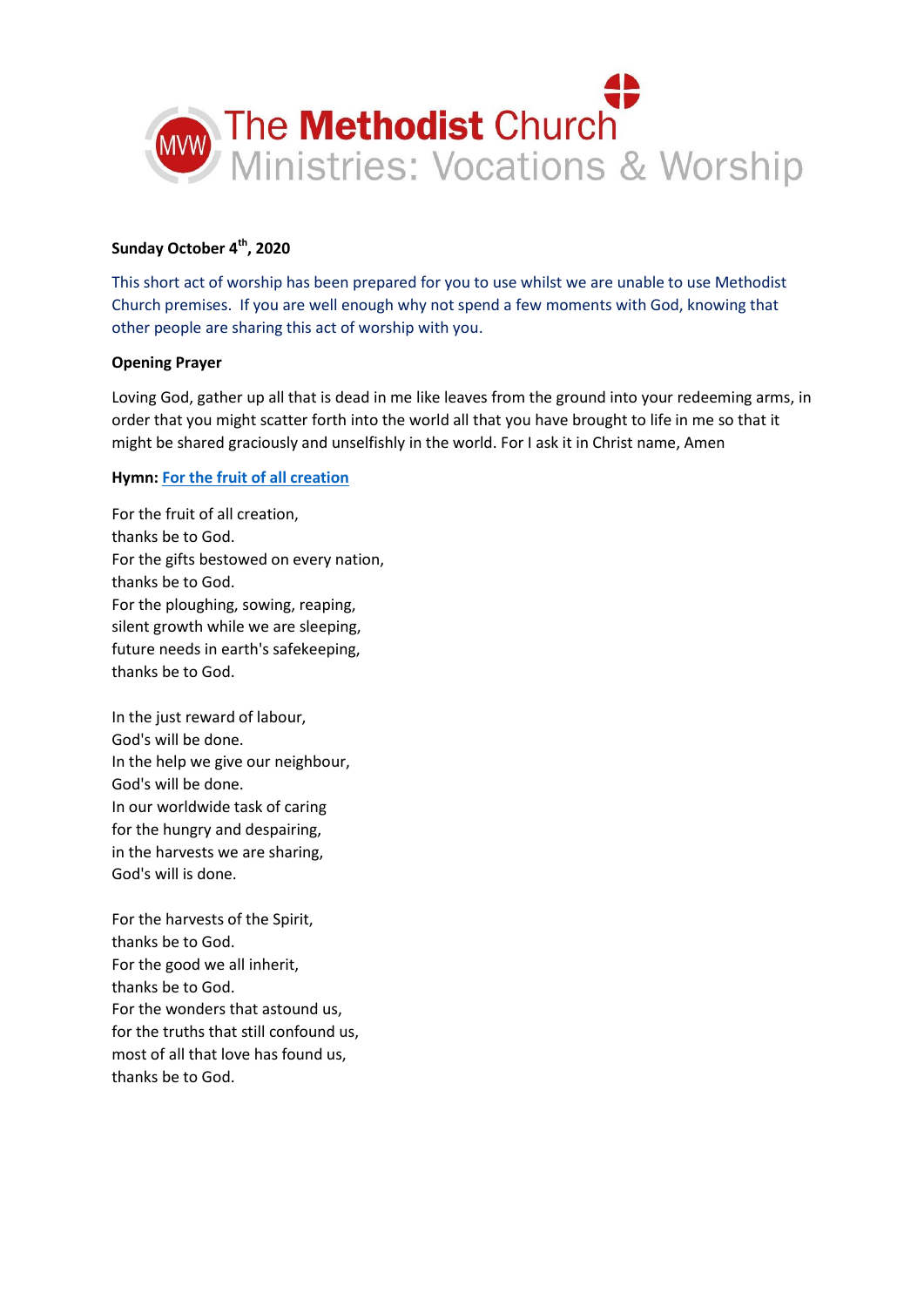

# **Sunday October 4th, 2020**

This short act of worship has been prepared for you to use whilst we are unable to use Methodist Church premises. If you are well enough why not spend a few moments with God, knowing that other people are sharing this act of worship with you.

### **Opening Prayer**

Loving God, gather up all that is dead in me like leaves from the ground into your redeeming arms, in order that you might scatter forth into the world all that you have brought to life in me so that it might be shared graciously and unselfishly in the world. For I ask it in Christ name, Amen

# **Hymn[: For the fruit of all creation](https://www.youtube.com/watch?v=zbBUFSOkbdM)**

For the fruit of all creation, thanks be to God. For the gifts bestowed on every nation, thanks be to God. For the ploughing, sowing, reaping, silent growth while we are sleeping, future needs in earth's safekeeping, thanks be to God.

In the just reward of labour, God's will be done. In the help we give our neighbour, God's will be done. In our worldwide task of caring for the hungry and despairing, in the harvests we are sharing, God's will is done.

For the harvests of the Spirit, thanks be to God. For the good we all inherit, thanks be to God. For the wonders that astound us, for the truths that still confound us, most of all that love has found us, thanks be to God.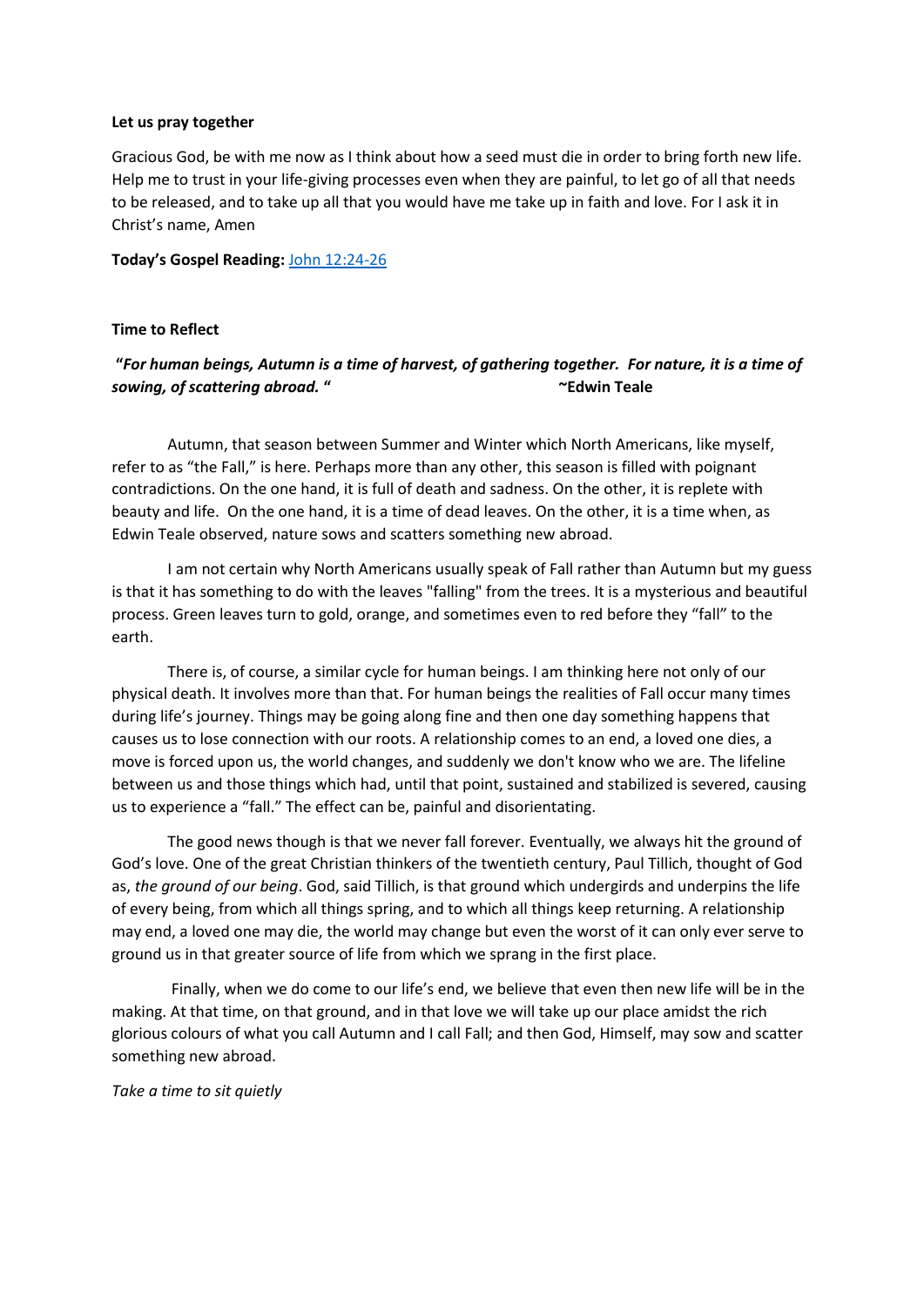### **Let us pray together**

Gracious God, be with me now as I think about how a seed must die in order to bring forth new life. Help me to trust in your life-giving processes even when they are painful, to let go of all that needs to be released, and to take up all that you would have me take up in faith and love. For I ask it in Christ's name, Amen

**Today's Gospel Reading:** [John 12:24-26](https://www.biblegateway.com/passage/?search=John+12%3A24-26&version=NIV)

### **Time to Reflect**

# **"***For human beings, Autumn is a time of harvest, of gathering together. For nature, it is a time of sowing, of scattering abroad.* **" ~Edwin Teale**

Autumn, that season between Summer and Winter which North Americans, like myself, refer to as "the Fall," is here. Perhaps more than any other, this season is filled with poignant contradictions. On the one hand, it is full of death and sadness. On the other, it is replete with beauty and life. On the one hand, it is a time of dead leaves. On the other, it is a time when, as Edwin Teale observed, nature sows and scatters something new abroad.

I am not certain why North Americans usually speak of Fall rather than Autumn but my guess is that it has something to do with the leaves "falling" from the trees. It is a mysterious and beautiful process. Green leaves turn to gold, orange, and sometimes even to red before they "fall" to the earth.

There is, of course, a similar cycle for human beings. I am thinking here not only of our physical death. It involves more than that. For human beings the realities of Fall occur many times during life's journey. Things may be going along fine and then one day something happens that causes us to lose connection with our roots. A relationship comes to an end, a loved one dies, a move is forced upon us, the world changes, and suddenly we don't know who we are. The lifeline between us and those things which had, until that point, sustained and stabilized is severed, causing us to experience a "fall." The effect can be, painful and disorientating.

The good news though is that we never fall forever. Eventually, we always hit the ground of God's love. One of the great Christian thinkers of the twentieth century, Paul Tillich, thought of God as, *the ground of our being*. God, said Tillich, is that ground which undergirds and underpins the life of every being, from which all things spring, and to which all things keep returning. A relationship may end, a loved one may die, the world may change but even the worst of it can only ever serve to ground us in that greater source of life from which we sprang in the first place.

Finally, when we do come to our life's end, we believe that even then new life will be in the making. At that time, on that ground, and in that love we will take up our place amidst the rich glorious colours of what you call Autumn and I call Fall; and then God, Himself, may sow and scatter something new abroad.

#### *Take a time to sit quietly*